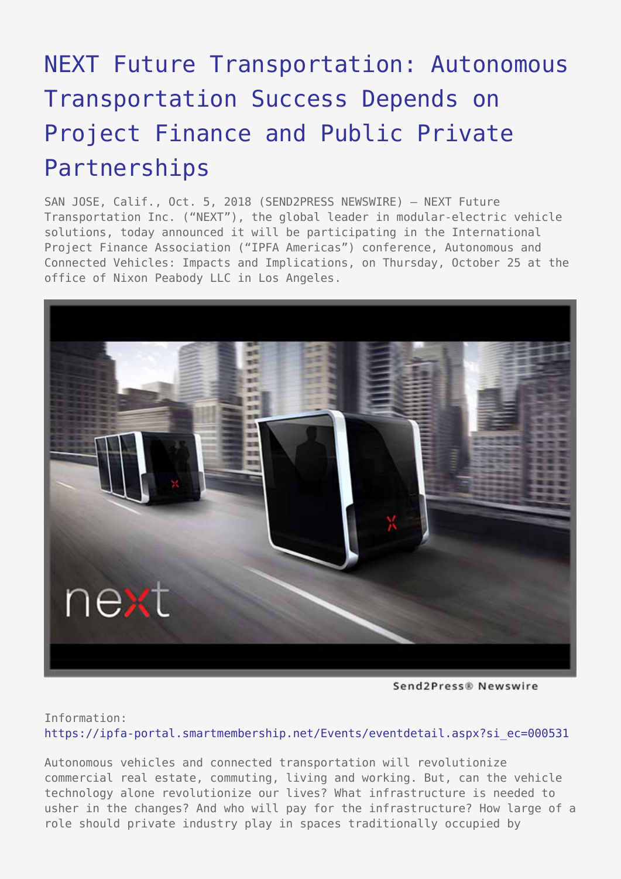## [NEXT Future Transportation: Autonomous](https://www.send2press.com/wire/next-future-transportation-autonomous-transportation-success-depends-on-project-finance-and-public-private-partnerships/) [Transportation Success Depends on](https://www.send2press.com/wire/next-future-transportation-autonomous-transportation-success-depends-on-project-finance-and-public-private-partnerships/) [Project Finance and Public Private](https://www.send2press.com/wire/next-future-transportation-autonomous-transportation-success-depends-on-project-finance-and-public-private-partnerships/) [Partnerships](https://www.send2press.com/wire/next-future-transportation-autonomous-transportation-success-depends-on-project-finance-and-public-private-partnerships/)

SAN JOSE, Calif., Oct. 5, 2018 (SEND2PRESS NEWSWIRE) — NEXT Future Transportation Inc. ("NEXT"), the global leader in modular-electric vehicle solutions, today announced it will be participating in the International Project Finance Association ("IPFA Americas") conference, Autonomous and Connected Vehicles: Impacts and Implications, on Thursday, October 25 at the office of Nixon Peabody LLC in Los Angeles.



Send2Press® Newswire

Information: [https://ipfa-portal.smartmembership.net/Events/eventdetail.aspx?si\\_ec=000531](https://ipfa-portal.smartmembership.net/Events/eventdetail.aspx?si_ec=000531)

Autonomous vehicles and connected transportation will revolutionize commercial real estate, commuting, living and working. But, can the vehicle technology alone revolutionize our lives? What infrastructure is needed to usher in the changes? And who will pay for the infrastructure? How large of a role should private industry play in spaces traditionally occupied by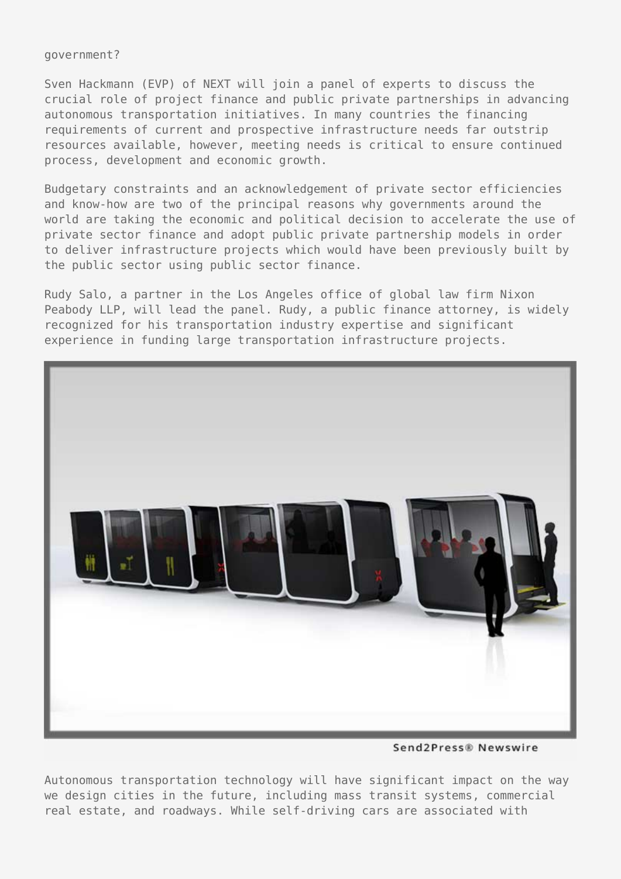## government?

Sven Hackmann (EVP) of NEXT will join a panel of experts to discuss the crucial role of project finance and public private partnerships in advancing autonomous transportation initiatives. In many countries the financing requirements of current and prospective infrastructure needs far outstrip resources available, however, meeting needs is critical to ensure continued process, development and economic growth.

Budgetary constraints and an acknowledgement of private sector efficiencies and know-how are two of the principal reasons why governments around the world are taking the economic and political decision to accelerate the use of private sector finance and adopt public private partnership models in order to deliver infrastructure projects which would have been previously built by the public sector using public sector finance.

Rudy Salo, a partner in the Los Angeles office of global law firm Nixon Peabody LLP, will lead the panel. Rudy, a public finance attorney, is widely recognized for his transportation industry expertise and significant experience in funding large transportation infrastructure projects.



Send2Press® Newswire

Autonomous transportation technology will have significant impact on the way we design cities in the future, including mass transit systems, commercial real estate, and roadways. While self-driving cars are associated with